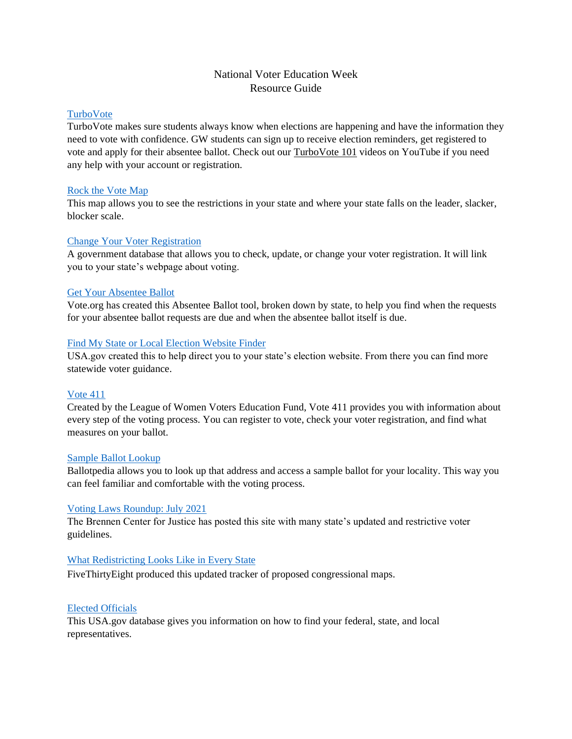# National Voter Education Week Resource Guide

# [TurboVote](https://gwu.turbovote.org/)

TurboVote makes sure students always know when elections are happening and have the information they need to vote with confidence. GW students can sign up to receive election reminders, get registered to vote and apply for their absentee ballot. Check out our [TurboVote 101](https://www.youtube.com/watch?v=uezF5kfs0pg&list=PL7Y2LAh_y8L9ToP4RMyGMoZ6ZncS3DsUc) videos on YouTube if you need any help with your account or registration.

# [Rock the Vote Map](https://www.rockthevote.org/get-involved/voting-rights/)

This map allows you to see the restrictions in your state and where your state falls on the leader, slacker, blocker scale.

# [Change Your Voter Registration](https://www.usa.gov/change-voter-registration)

A government database that allows you to check, update, or change your voter registration. It will link you to your state's webpage about voting.

# [Get Your Absentee Ballot](https://www.vote.org/absentee-ballot/)

Vote.org has created this Absentee Ballot tool, broken down by state, to help you find when the requests for your absentee ballot requests are due and when the absentee ballot itself is due.

# [Find My State or Local Election Website Finder](https://www.usa.gov/election-office)

USA.gov created this to help direct you to your state's election website. From there you can find more statewide voter guidance.

# [Vote 411](https://www.vote411.org/)

Created by the League of Women Voters Education Fund, Vote 411 provides you with information about every step of the voting process. You can register to vote, check your voter registration, and find what measures on your ballot.

# [Sample Ballot Lookup](https://ballotpedia.org/Sample_Ballot_Lookup)

Ballotpedia allows you to look up that address and access a sample ballot for your locality. This way you can feel familiar and comfortable with the voting process.

# [Voting Laws Roundup: July 2021](https://www.brennancenter.org/our-work/research-reports/voting-laws-roundup-july-2021)

The Brennen Center for Justice has posted this site with many state's updated and restrictive voter guidelines.

# [What Redistricting Looks Like in Every State](https://projects.fivethirtyeight.com/redistricting-2022-maps/)

FiveThirtyEight produced this updated tracker of proposed congressional maps.

# [Elected Officials](https://www.usa.gov/elected-officials)

This USA.gov database gives you information on how to find your federal, state, and local representatives.